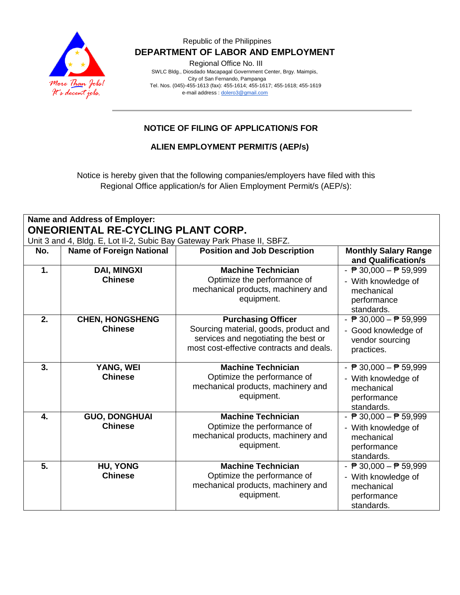

Regional Office No. III

 SWLC Bldg., Diosdado Macapagal Government Center, Brgy. Maimpis, City of San Fernando, Pampanga Tel. Nos. (045)-455-1613 (fax): 455-1614; 455-1617; 455-1618; 455-1619 e-mail address [: dolero3@gmail.com](mailto:dolero3@gmail.com)

## **NOTICE OF FILING OF APPLICATION/S FOR**

**ALIEN EMPLOYMENT PERMIT/S (AEP/s)**

Notice is hereby given that the following companies/employers have filed with this Regional Office application/s for Alien Employment Permit/s (AEP/s):

| Name and Address of Employer:<br>ONEORIENTAL RE-CYCLING PLANT CORP. |                                                                         |                                                                                                                                                        |                                                                                                                   |  |  |
|---------------------------------------------------------------------|-------------------------------------------------------------------------|--------------------------------------------------------------------------------------------------------------------------------------------------------|-------------------------------------------------------------------------------------------------------------------|--|--|
|                                                                     | Unit 3 and 4, Bldg. E, Lot II-2, Subic Bay Gateway Park Phase II, SBFZ. |                                                                                                                                                        |                                                                                                                   |  |  |
| No.                                                                 | <b>Name of Foreign National</b>                                         | <b>Position and Job Description</b>                                                                                                                    | <b>Monthly Salary Range</b><br>and Qualification/s                                                                |  |  |
| $\mathbf{1}$ .                                                      | <b>DAI, MINGXI</b><br><b>Chinese</b>                                    | <b>Machine Technician</b><br>Optimize the performance of<br>mechanical products, machinery and<br>equipment.                                           | - $\overline{P}$ 30,000 - $\overline{P}$ 59,999<br>- With knowledge of<br>mechanical<br>performance<br>standards. |  |  |
| 2.                                                                  | <b>CHEN, HONGSHENG</b><br><b>Chinese</b>                                | <b>Purchasing Officer</b><br>Sourcing material, goods, product and<br>services and negotiating the best or<br>most cost-effective contracts and deals. | - $\overline{P}$ 30,000 - $\overline{P}$ 59,999<br>- Good knowledge of<br>vendor sourcing<br>practices.           |  |  |
| 3.                                                                  | YANG, WEI<br><b>Chinese</b>                                             | <b>Machine Technician</b><br>Optimize the performance of<br>mechanical products, machinery and<br>equipment.                                           | - $\overline{P}$ 30,000 - $\overline{P}$ 59,999<br>- With knowledge of<br>mechanical<br>performance<br>standards. |  |  |
| 4.                                                                  | <b>GUO, DONGHUAI</b><br><b>Chinese</b>                                  | <b>Machine Technician</b><br>Optimize the performance of<br>mechanical products, machinery and<br>equipment.                                           | - $\overline{P}$ 30,000 - $\overline{P}$ 59,999<br>- With knowledge of<br>mechanical<br>performance<br>standards. |  |  |
| $\overline{5}$ .                                                    | <b>HU, YONG</b><br><b>Chinese</b>                                       | <b>Machine Technician</b><br>Optimize the performance of<br>mechanical products, machinery and<br>equipment.                                           | - $\overline{P}$ 30,000 - $\overline{P}$ 59,999<br>- With knowledge of<br>mechanical<br>performance<br>standards. |  |  |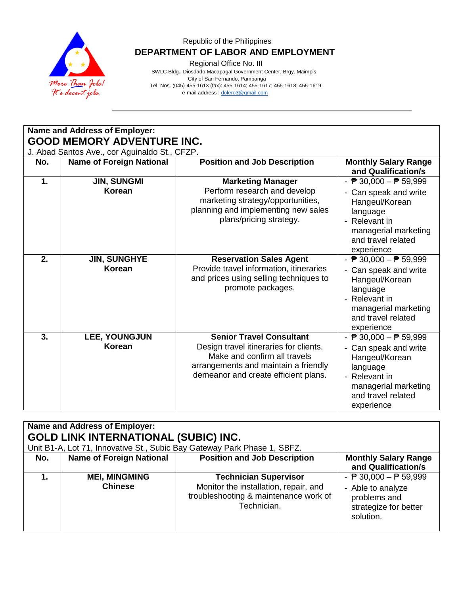

Regional Office No. III

 SWLC Bldg., Diosdado Macapagal Government Center, Brgy. Maimpis, City of San Fernando, Pampanga Tel. Nos. (045)-455-1613 (fax): 455-1614; 455-1617; 455-1618; 455-1619 e-mail address [: dolero3@gmail.com](mailto:dolero3@gmail.com)

| <b>Name and Address of Employer:</b><br><b>GOOD MEMORY ADVENTURE INC.</b><br>J. Abad Santos Ave., cor Aguinaldo St., CFZP. |                                      |                                                                                                                                                                                           |                                                                                                                                                                                     |  |
|----------------------------------------------------------------------------------------------------------------------------|--------------------------------------|-------------------------------------------------------------------------------------------------------------------------------------------------------------------------------------------|-------------------------------------------------------------------------------------------------------------------------------------------------------------------------------------|--|
| No.                                                                                                                        | <b>Name of Foreign National</b>      | <b>Position and Job Description</b>                                                                                                                                                       | <b>Monthly Salary Range</b><br>and Qualification/s                                                                                                                                  |  |
| 1.                                                                                                                         | <b>JIN, SUNGMI</b><br>Korean         | <b>Marketing Manager</b><br>Perform research and develop<br>marketing strategy/opportunities,<br>planning and implementing new sales<br>plans/pricing strategy.                           | - $\overline{P}$ 30,000 - $\overline{P}$ 59,999<br>- Can speak and write<br>Hangeul/Korean<br>language<br>- Relevant in<br>managerial marketing<br>and travel related<br>experience |  |
| 2.                                                                                                                         | <b>JIN, SUNGHYE</b><br><b>Korean</b> | <b>Reservation Sales Agent</b><br>Provide travel information, itineraries<br>and prices using selling techniques to<br>promote packages.                                                  | - $\overline{P}$ 30,000 - $\overline{P}$ 59,999<br>- Can speak and write<br>Hangeul/Korean<br>language<br>- Relevant in<br>managerial marketing<br>and travel related<br>experience |  |
| 3.                                                                                                                         | <b>LEE, YOUNGJUN</b><br>Korean       | <b>Senior Travel Consultant</b><br>Design travel itineraries for clients.<br>Make and confirm all travels<br>arrangements and maintain a friendly<br>demeanor and create efficient plans. | - $\overline{P}$ 30,000 - $\overline{P}$ 59,999<br>- Can speak and write<br>Hangeul/Korean<br>language<br>- Relevant in<br>managerial marketing<br>and travel related<br>experience |  |

| Name and Address of Employer:<br><b>GOLD LINK INTERNATIONAL (SUBIC) INC.</b><br>Unit B1-A, Lot 71, Innovative St., Subic Bay Gateway Park Phase 1, SBFZ. |                                        |                                                                                                                               |                                                                                                                            |  |
|----------------------------------------------------------------------------------------------------------------------------------------------------------|----------------------------------------|-------------------------------------------------------------------------------------------------------------------------------|----------------------------------------------------------------------------------------------------------------------------|--|
| No.                                                                                                                                                      | <b>Name of Foreign National</b>        | <b>Position and Job Description</b>                                                                                           | <b>Monthly Salary Range</b><br>and Qualification/s                                                                         |  |
|                                                                                                                                                          | <b>MEI, MINGMING</b><br><b>Chinese</b> | <b>Technician Supervisor</b><br>Monitor the installation, repair, and<br>troubleshooting & maintenance work of<br>Technician. | - $\overline{P}$ 30,000 - $\overline{P}$ 59,999<br>- Able to analyze<br>problems and<br>strategize for better<br>solution. |  |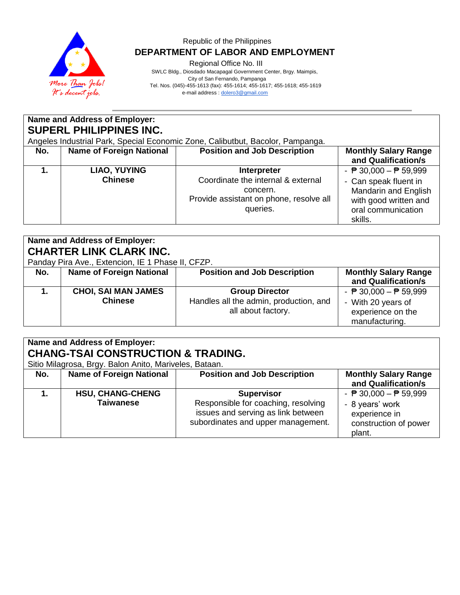

Regional Office No. III

 SWLC Bldg., Diosdado Macapagal Government Center, Brgy. Maimpis, City of San Fernando, Pampanga Tel. Nos. (045)-455-1613 (fax): 455-1614; 455-1617; 455-1618; 455-1619 e-mail address [: dolero3@gmail.com](mailto:dolero3@gmail.com)

| Name and Address of Employer:<br><b>SUPERL PHILIPPINES INC.</b><br>Angeles Industrial Park, Special Economic Zone, Calibutbut, Bacolor, Pampanga. |                                |                                                                                                                      |                                                                                                                                                            |  |
|---------------------------------------------------------------------------------------------------------------------------------------------------|--------------------------------|----------------------------------------------------------------------------------------------------------------------|------------------------------------------------------------------------------------------------------------------------------------------------------------|--|
| <b>Name of Foreign National</b><br><b>Position and Job Description</b><br><b>Monthly Salary Range</b><br>No.<br>and Qualification/s               |                                |                                                                                                                      |                                                                                                                                                            |  |
|                                                                                                                                                   | LIAO, YUYING<br><b>Chinese</b> | Interpreter<br>Coordinate the internal & external<br>concern.<br>Provide assistant on phone, resolve all<br>queries. | - $\overline{P}$ 30,000 - $\overline{P}$ 59,999<br>- Can speak fluent in<br>Mandarin and English<br>with good written and<br>oral communication<br>skills. |  |

# **Name and Address of Employer: CHARTER LINK CLARK INC.**

Panday Pira Ave., Extencion, IE 1 Phase II, CFZP.

| No. | <b>Name of Foreign National</b>              | <b>Position and Job Description</b>                                                   | <b>Monthly Salary Range</b><br>and Qualification/s                                                           |
|-----|----------------------------------------------|---------------------------------------------------------------------------------------|--------------------------------------------------------------------------------------------------------------|
| 1.  | <b>CHOI, SAI MAN JAMES</b><br><b>Chinese</b> | <b>Group Director</b><br>Handles all the admin, production, and<br>all about factory. | - $\overline{P}$ 30,000 - $\overline{P}$ 59,999<br>- With 20 years of<br>experience on the<br>manufacturing. |

# **Name and Address of Employer: CHANG-TSAI CONSTRUCTION & TRADING.**

Sitio Milagrosa, Brgy. Balon Anito, Mariveles, Bataan.

| No. | <b>Name of Foreign National</b>             | <b>Position and Job Description</b>                                                                                                  | <b>Monthly Salary Range</b><br>and Qualification/s                                                                     |
|-----|---------------------------------------------|--------------------------------------------------------------------------------------------------------------------------------------|------------------------------------------------------------------------------------------------------------------------|
|     | <b>HSU, CHANG-CHENG</b><br><b>Taiwanese</b> | <b>Supervisor</b><br>Responsible for coaching, resolving<br>issues and serving as link between<br>subordinates and upper management. | - $\overline{P}$ 30,000 - $\overline{P}$ 59,999<br>- 8 years' work<br>experience in<br>construction of power<br>plant. |